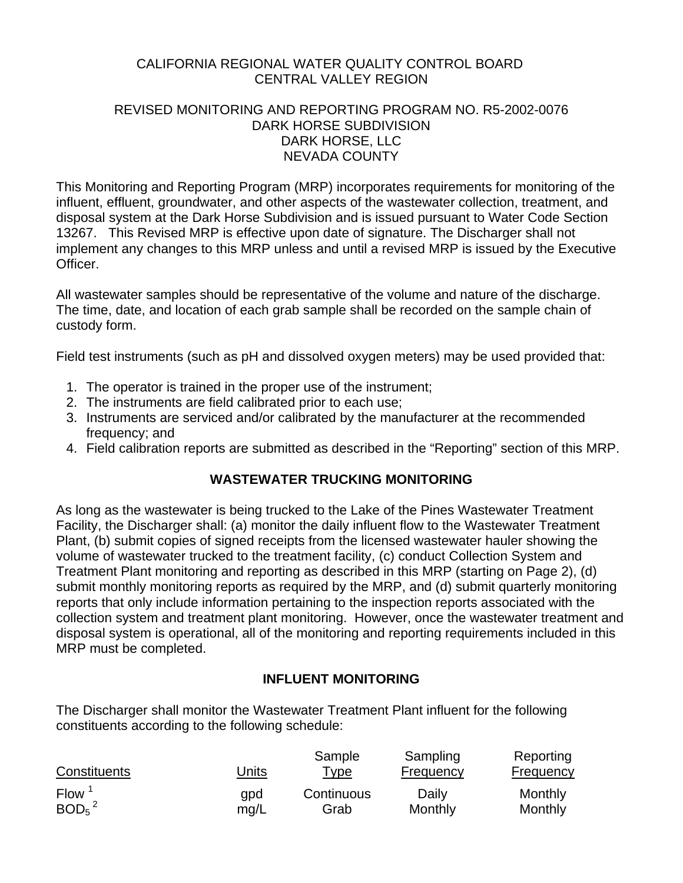### CALIFORNIA REGIONAL WATER QUALITY CONTROL BOARD CENTRAL VALLEY REGION

## REVISED MONITORING AND REPORTING PROGRAM NO. R5-2002-0076 DARK HORSE SUBDIVISION DARK HORSE, LLC NEVADA COUNTY

This Monitoring and Reporting Program (MRP) incorporates requirements for monitoring of the influent, effluent, groundwater, and other aspects of the wastewater collection, treatment, and disposal system at the Dark Horse Subdivision and is issued pursuant to Water Code Section 13267. This Revised MRP is effective upon date of signature. The Discharger shall not implement any changes to this MRP unless and until a revised MRP is issued by the Executive Officer.

All wastewater samples should be representative of the volume and nature of the discharge. The time, date, and location of each grab sample shall be recorded on the sample chain of custody form.

Field test instruments (such as pH and dissolved oxygen meters) may be used provided that:

- 1. The operator is trained in the proper use of the instrument;
- 2. The instruments are field calibrated prior to each use;
- 3. Instruments are serviced and/or calibrated by the manufacturer at the recommended frequency; and
- 4. Field calibration reports are submitted as described in the "Reporting" section of this MRP.

## **WASTEWATER TRUCKING MONITORING**

As long as the wastewater is being trucked to the Lake of the Pines Wastewater Treatment Facility, the Discharger shall: (a) monitor the daily influent flow to the Wastewater Treatment Plant, (b) submit copies of signed receipts from the licensed wastewater hauler showing the volume of wastewater trucked to the treatment facility, (c) conduct Collection System and Treatment Plant monitoring and reporting as described in this MRP (starting on Page 2), (d) submit monthly monitoring reports as required by the MRP, and (d) submit quarterly monitoring reports that only include information pertaining to the inspection reports associated with the collection system and treatment plant monitoring. However, once the wastewater treatment and disposal system is operational, all of the monitoring and reporting requirements included in this MRP must be completed.

## **INFLUENT MONITORING**

The Discharger shall monitor the Wastewater Treatment Plant influent for the following constituents according to the following schedule:

|                               |              | Sample      | Sampling  | Reporting |
|-------------------------------|--------------|-------------|-----------|-----------|
| Constituents                  | <u>Units</u> | <u>Type</u> | Frequency | Frequency |
| <b>Flow</b>                   | qpd          | Continuous  | Daily     | Monthly   |
| BOD <sub>5</sub> <sup>2</sup> | mq/L         | Grab        | Monthly   | Monthly   |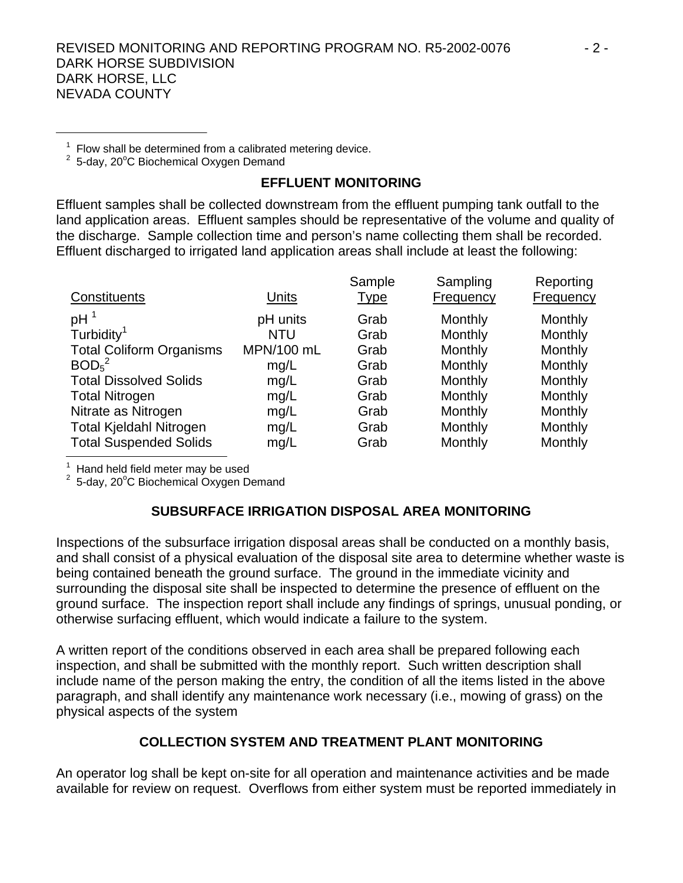#### REVISED MONITORING AND REPORTING PROGRAM NO. R5-2002-0076  $\sim$  2 -DARK HORSE SUBDIVISION DARK HORSE, LLC NEVADA COUNTY

 $1$  Flow shall be determined from a calibrated metering device.

 $2$  5-day, 20 $^{\circ}$ C Biochemical Oxygen Demand

## **EFFLUENT MONITORING**

Effluent samples shall be collected downstream from the effluent pumping tank outfall to the land application areas. Effluent samples should be representative of the volume and quality of the discharge. Sample collection time and person's name collecting them shall be recorded. Effluent discharged to irrigated land application areas shall include at least the following:

| Constituents                    | Units      | Sample<br><b>Type</b> | Sampling<br>Frequency | Reporting<br>Frequency |
|---------------------------------|------------|-----------------------|-----------------------|------------------------|
|                                 |            |                       |                       |                        |
| pH <sup>1</sup>                 | pH units   | Grab                  | Monthly               | Monthly                |
| Turbidity <sup>1</sup>          | NTU        | Grab                  | Monthly               | Monthly                |
| <b>Total Coliform Organisms</b> | MPN/100 mL | Grab                  | Monthly               | Monthly                |
| BOD <sub>5</sub> <sup>2</sup>   | mg/L       | Grab                  | Monthly               | Monthly                |
| <b>Total Dissolved Solids</b>   | mg/L       | Grab                  | Monthly               | Monthly                |
| <b>Total Nitrogen</b>           | mg/L       | Grab                  | Monthly               | Monthly                |
| Nitrate as Nitrogen             | mg/L       | Grab                  | Monthly               | Monthly                |
| <b>Total Kjeldahl Nitrogen</b>  | mg/L       | Grab                  | Monthly               | Monthly                |
| <b>Total Suspended Solids</b>   | mg/L       | Grab                  | Monthly               | Monthly                |

1 Hand held field meter may be used

 $2$  5-day, 20 $^{\circ}$ C Biochemical Oxygen Demand

## **SUBSURFACE IRRIGATION DISPOSAL AREA MONITORING**

Inspections of the subsurface irrigation disposal areas shall be conducted on a monthly basis, and shall consist of a physical evaluation of the disposal site area to determine whether waste is being contained beneath the ground surface. The ground in the immediate vicinity and surrounding the disposal site shall be inspected to determine the presence of effluent on the ground surface. The inspection report shall include any findings of springs, unusual ponding, or otherwise surfacing effluent, which would indicate a failure to the system.

A written report of the conditions observed in each area shall be prepared following each inspection, and shall be submitted with the monthly report. Such written description shall include name of the person making the entry, the condition of all the items listed in the above paragraph, and shall identify any maintenance work necessary (i.e., mowing of grass) on the physical aspects of the system

## **COLLECTION SYSTEM AND TREATMENT PLANT MONITORING**

An operator log shall be kept on-site for all operation and maintenance activities and be made available for review on request. Overflows from either system must be reported immediately in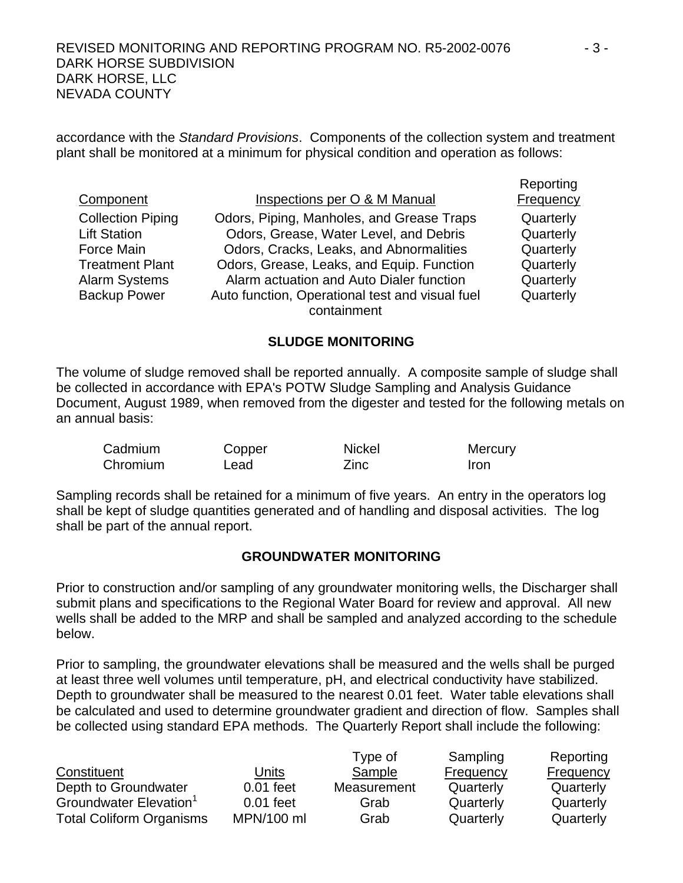accordance with the *Standard Provisions*. Components of the collection system and treatment plant shall be monitored at a minimum for physical condition and operation as follows:

| Inspections per O & M Manual                                                                                                   | $15500$ tillig<br><b>Frequency</b>  |
|--------------------------------------------------------------------------------------------------------------------------------|-------------------------------------|
| Odors, Piping, Manholes, and Grease Traps<br>Odors, Grease, Water Level, and Debris<br>Odors, Cracks, Leaks, and Abnormalities | Quarterly<br>Quarterly<br>Quarterly |
| Odors, Grease, Leaks, and Equip. Function                                                                                      | Quarterly                           |
| Alarm actuation and Auto Dialer function                                                                                       | Quarterly                           |
| Auto function, Operational test and visual fuel                                                                                | Quarterly                           |
|                                                                                                                                | containment                         |

#### **SLUDGE MONITORING**

The volume of sludge removed shall be reported annually. A composite sample of sludge shall be collected in accordance with EPA's POTW Sludge Sampling and Analysis Guidance Document, August 1989, when removed from the digester and tested for the following metals on an annual basis:

| Cadmium  | Copper | <b>Nickel</b> | Mercury |
|----------|--------|---------------|---------|
| Chromium | Lead   | Zinc          | Iron    |

Sampling records shall be retained for a minimum of five years. An entry in the operators log shall be kept of sludge quantities generated and of handling and disposal activities. The log shall be part of the annual report.

#### **GROUNDWATER MONITORING**

Prior to construction and/or sampling of any groundwater monitoring wells, the Discharger shall submit plans and specifications to the Regional Water Board for review and approval. All new wells shall be added to the MRP and shall be sampled and analyzed according to the schedule below.

Prior to sampling, the groundwater elevations shall be measured and the wells shall be purged at least three well volumes until temperature, pH, and electrical conductivity have stabilized. Depth to groundwater shall be measured to the nearest 0.01 feet. Water table elevations shall be calculated and used to determine groundwater gradient and direction of flow. Samples shall be collected using standard EPA methods. The Quarterly Report shall include the following:

|                                 |             | Type of     | Sampling  | Reporting        |
|---------------------------------|-------------|-------------|-----------|------------------|
| Constituent                     | Units       | Sample      | Frequency | <b>Frequency</b> |
| Depth to Groundwater            | $0.01$ feet | Measurement | Quarterly | Quarterly        |
| Groundwater Elevation           | $0.01$ feet | Grab        | Quarterly | Quarterly        |
| <b>Total Coliform Organisms</b> | MPN/100 ml  | Grab        | Quarterly | Quarterly        |

**Reporting**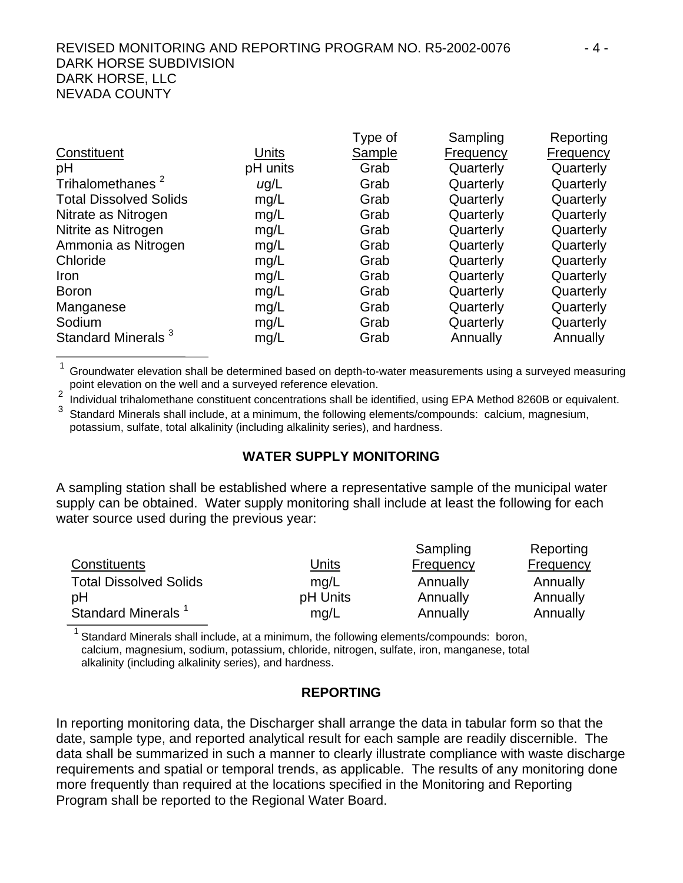## REVISED MONITORING AND REPORTING PROGRAM NO. R5-2002-0076  $-4 -$ DARK HORSE SUBDIVISION DARK HORSE, LLC NEVADA COUNTY

|           | Type of       | Sampling  | Reporting |
|-----------|---------------|-----------|-----------|
| Units     | <b>Sample</b> | Frequency | Frequency |
| pH units  | Grab          | Quarterly | Quarterly |
| $\mu$ g/L | Grab          | Quarterly | Quarterly |
| mg/L      | Grab          | Quarterly | Quarterly |
| mg/L      | Grab          | Quarterly | Quarterly |
| mg/L      | Grab          | Quarterly | Quarterly |
| mg/L      | Grab          | Quarterly | Quarterly |
| mg/L      | Grab          | Quarterly | Quarterly |
| mg/L      | Grab          | Quarterly | Quarterly |
| mg/L      | Grab          | Quarterly | Quarterly |
| mg/L      | Grab          | Quarterly | Quarterly |
| mg/L      | Grab          | Quarterly | Quarterly |
| mg/L      | Grab          | Annually  | Annually  |
|           |               |           |           |

 $1$  Groundwater elevation shall be determined based on depth-to-water measurements using a surveyed measuring point elevation on the well and a surveyed reference elevation.

2 Individual trihalomethane constituent concentrations shall be identified, using EPA Method 8260B or equivalent.<br>3 Standard Minerals shall include, at a minimum, the following elements/compounds: calcium, magnesium,

potassium, sulfate, total alkalinity (including alkalinity series), and hardness.

## **WATER SUPPLY MONITORING**

A sampling station shall be established where a representative sample of the municipal water supply can be obtained. Water supply monitoring shall include at least the following for each water source used during the previous year:

|                                |          | Sampling  | Reporting        |
|--------------------------------|----------|-----------|------------------|
| Constituents                   | Units    | Frequency | <b>Frequency</b> |
| <b>Total Dissolved Solids</b>  | mq/L     | Annually  | Annually         |
| рH                             | pH Units | Annually  | Annually         |
| Standard Minerals <sup>1</sup> | mg/L     | Annually  | Annually         |

Standard Minerals shall include, at a minimum, the following elements/compounds: boron, calcium, magnesium, sodium, potassium, chloride, nitrogen, sulfate, iron, manganese, total alkalinity (including alkalinity series), and hardness.

## **REPORTING**

In reporting monitoring data, the Discharger shall arrange the data in tabular form so that the date, sample type, and reported analytical result for each sample are readily discernible. The data shall be summarized in such a manner to clearly illustrate compliance with waste discharge requirements and spatial or temporal trends, as applicable. The results of any monitoring done more frequently than required at the locations specified in the Monitoring and Reporting Program shall be reported to the Regional Water Board.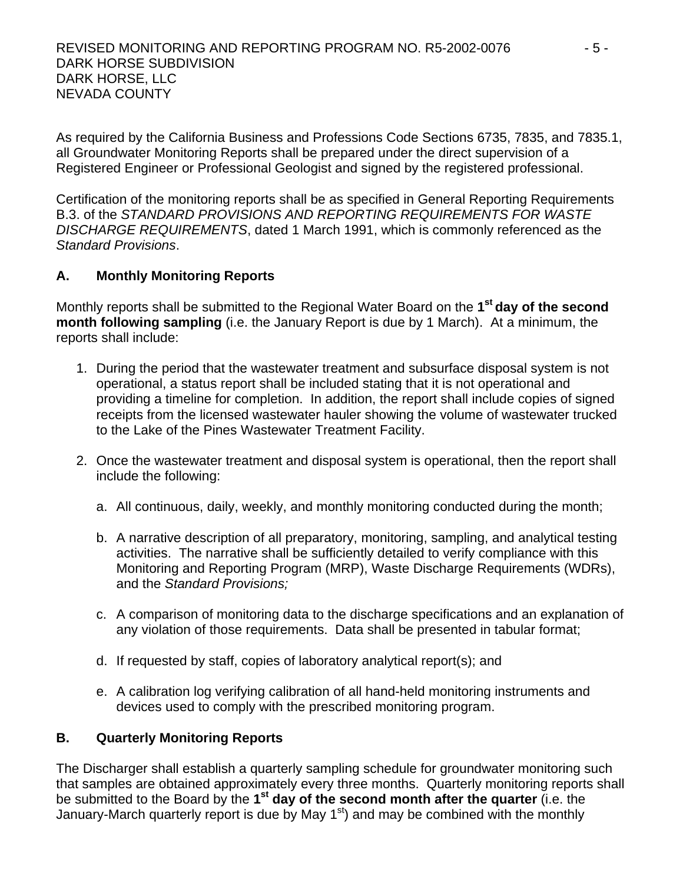As required by the California Business and Professions Code Sections 6735, 7835, and 7835.1, all Groundwater Monitoring Reports shall be prepared under the direct supervision of a Registered Engineer or Professional Geologist and signed by the registered professional.

Certification of the monitoring reports shall be as specified in General Reporting Requirements B.3. of the *STANDARD PROVISIONS AND REPORTING REQUIREMENTS FOR WASTE DISCHARGE REQUIREMENTS*, dated 1 March 1991, which is commonly referenced as the *Standard Provisions*.

# **A. Monthly Monitoring Reports**

Monthly reports shall be submitted to the Regional Water Board on the **1st day of the second month following sampling** (i.e. the January Report is due by 1 March). At a minimum, the reports shall include:

- 1. During the period that the wastewater treatment and subsurface disposal system is not operational, a status report shall be included stating that it is not operational and providing a timeline for completion. In addition, the report shall include copies of signed receipts from the licensed wastewater hauler showing the volume of wastewater trucked to the Lake of the Pines Wastewater Treatment Facility.
- 2. Once the wastewater treatment and disposal system is operational, then the report shall include the following:
	- a. All continuous, daily, weekly, and monthly monitoring conducted during the month;
	- b. A narrative description of all preparatory, monitoring, sampling, and analytical testing activities. The narrative shall be sufficiently detailed to verify compliance with this Monitoring and Reporting Program (MRP), Waste Discharge Requirements (WDRs), and the *Standard Provisions;*
	- c. A comparison of monitoring data to the discharge specifications and an explanation of any violation of those requirements. Data shall be presented in tabular format;
	- d. If requested by staff, copies of laboratory analytical report(s); and
	- e. A calibration log verifying calibration of all hand-held monitoring instruments and devices used to comply with the prescribed monitoring program.

## **B. Quarterly Monitoring Reports**

The Discharger shall establish a quarterly sampling schedule for groundwater monitoring such that samples are obtained approximately every three months. Quarterly monitoring reports shall be submitted to the Board by the **1st day of the second month after the quarter** (i.e. the January-March quarterly report is due by May  $1<sup>st</sup>$  and may be combined with the monthly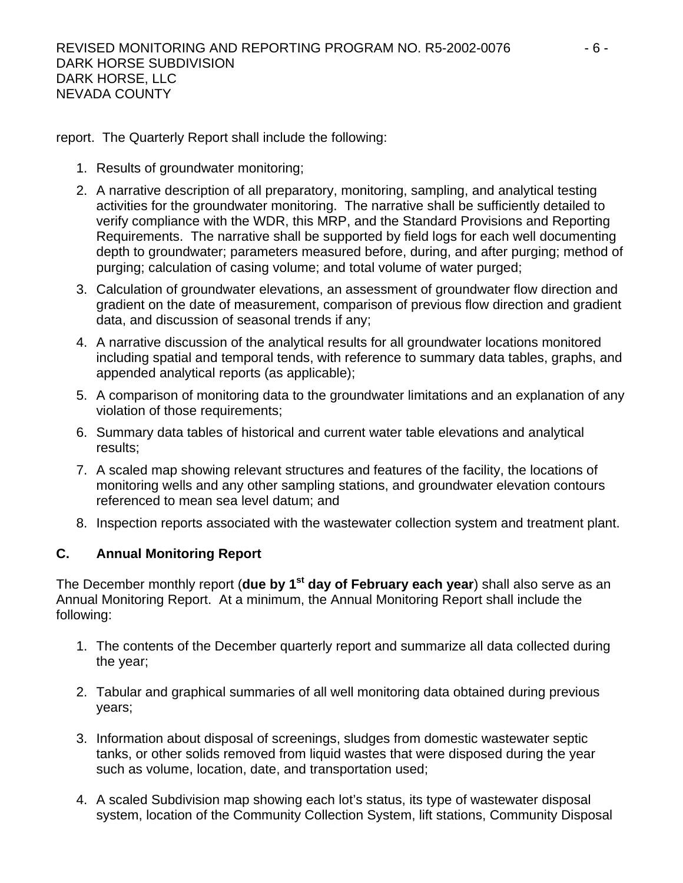report. The Quarterly Report shall include the following:

- 1. Results of groundwater monitoring;
- 2. A narrative description of all preparatory, monitoring, sampling, and analytical testing activities for the groundwater monitoring. The narrative shall be sufficiently detailed to verify compliance with the WDR, this MRP, and the Standard Provisions and Reporting Requirements. The narrative shall be supported by field logs for each well documenting depth to groundwater; parameters measured before, during, and after purging; method of purging; calculation of casing volume; and total volume of water purged;
- 3. Calculation of groundwater elevations, an assessment of groundwater flow direction and gradient on the date of measurement, comparison of previous flow direction and gradient data, and discussion of seasonal trends if any;
- 4. A narrative discussion of the analytical results for all groundwater locations monitored including spatial and temporal tends, with reference to summary data tables, graphs, and appended analytical reports (as applicable);
- 5. A comparison of monitoring data to the groundwater limitations and an explanation of any violation of those requirements;
- 6. Summary data tables of historical and current water table elevations and analytical results;
- 7. A scaled map showing relevant structures and features of the facility, the locations of monitoring wells and any other sampling stations, and groundwater elevation contours referenced to mean sea level datum; and
- 8. Inspection reports associated with the wastewater collection system and treatment plant.

# **C. Annual Monitoring Report**

The December monthly report (due by 1<sup>st</sup> day of February each year) shall also serve as an Annual Monitoring Report. At a minimum, the Annual Monitoring Report shall include the following:

- 1. The contents of the December quarterly report and summarize all data collected during the year;
- 2. Tabular and graphical summaries of all well monitoring data obtained during previous years;
- 3. Information about disposal of screenings, sludges from domestic wastewater septic tanks, or other solids removed from liquid wastes that were disposed during the year such as volume, location, date, and transportation used;
- 4. A scaled Subdivision map showing each lot's status, its type of wastewater disposal system, location of the Community Collection System, lift stations, Community Disposal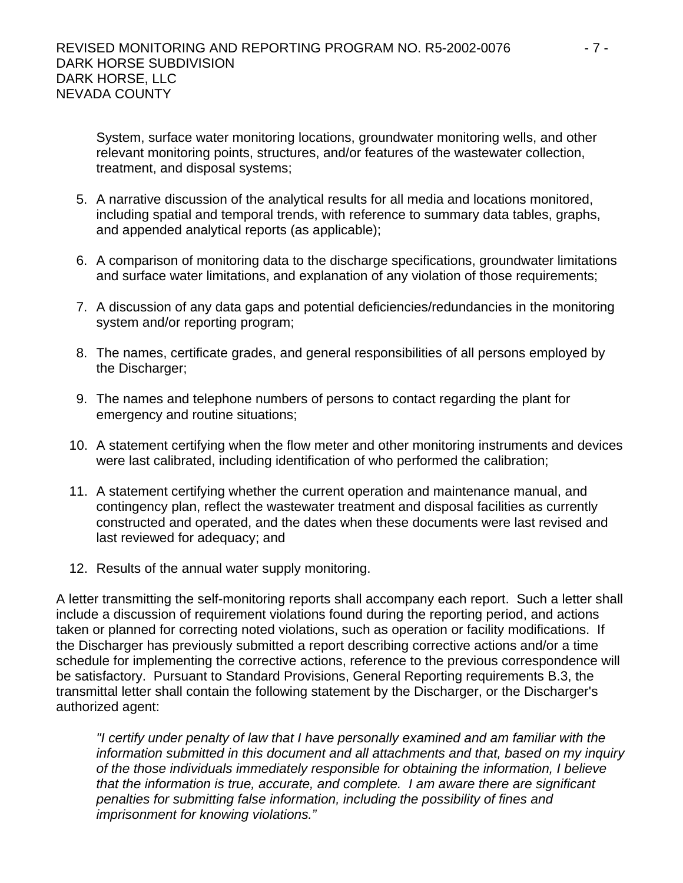System, surface water monitoring locations, groundwater monitoring wells, and other relevant monitoring points, structures, and/or features of the wastewater collection, treatment, and disposal systems;

- 5. A narrative discussion of the analytical results for all media and locations monitored, including spatial and temporal trends, with reference to summary data tables, graphs, and appended analytical reports (as applicable);
- 6. A comparison of monitoring data to the discharge specifications, groundwater limitations and surface water limitations, and explanation of any violation of those requirements;
- 7. A discussion of any data gaps and potential deficiencies/redundancies in the monitoring system and/or reporting program;
- 8. The names, certificate grades, and general responsibilities of all persons employed by the Discharger;
- 9. The names and telephone numbers of persons to contact regarding the plant for emergency and routine situations;
- 10. A statement certifying when the flow meter and other monitoring instruments and devices were last calibrated, including identification of who performed the calibration;
- 11. A statement certifying whether the current operation and maintenance manual, and contingency plan, reflect the wastewater treatment and disposal facilities as currently constructed and operated, and the dates when these documents were last revised and last reviewed for adequacy; and
- 12. Results of the annual water supply monitoring.

A letter transmitting the self-monitoring reports shall accompany each report. Such a letter shall include a discussion of requirement violations found during the reporting period, and actions taken or planned for correcting noted violations, such as operation or facility modifications. If the Discharger has previously submitted a report describing corrective actions and/or a time schedule for implementing the corrective actions, reference to the previous correspondence will be satisfactory. Pursuant to Standard Provisions, General Reporting requirements B.3, the transmittal letter shall contain the following statement by the Discharger, or the Discharger's authorized agent:

*"I certify under penalty of law that I have personally examined and am familiar with the information submitted in this document and all attachments and that, based on my inquiry of the those individuals immediately responsible for obtaining the information, I believe that the information is true, accurate, and complete. I am aware there are significant penalties for submitting false information, including the possibility of fines and imprisonment for knowing violations."*